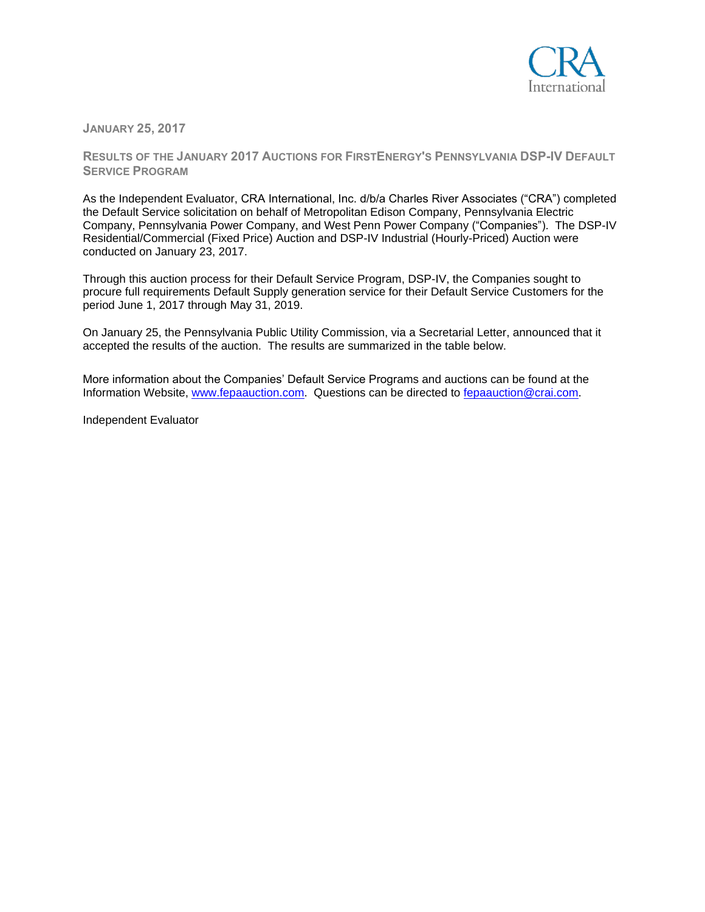

**JANUARY 25, 2017**

**RESULTS OF THE JANUARY 2017 AUCTIONS FOR FIRSTENERGY'S PENNSYLVANIA DSP-IV DEFAULT SERVICE PROGRAM**

As the Independent Evaluator, CRA International, Inc. d/b/a Charles River Associates ("CRA") completed the Default Service solicitation on behalf of Metropolitan Edison Company, Pennsylvania Electric Company, Pennsylvania Power Company, and West Penn Power Company ("Companies"). The DSP-IV Residential/Commercial (Fixed Price) Auction and DSP-IV Industrial (Hourly-Priced) Auction were conducted on January 23, 2017.

Through this auction process for their Default Service Program, DSP-IV, the Companies sought to procure full requirements Default Supply generation service for their Default Service Customers for the period June 1, 2017 through May 31, 2019.

On January 25, the Pennsylvania Public Utility Commission, via a Secretarial Letter, announced that it accepted the results of the auction. The results are summarized in the table below.

More information about the Companies' Default Service Programs and auctions can be found at the Information Website, [www.fepaauction.com.](http://www.fepaauction.com/) Questions can be directed to [fepaauction@crai.com.](mailto:fepaauction@crai.com)

Independent Evaluator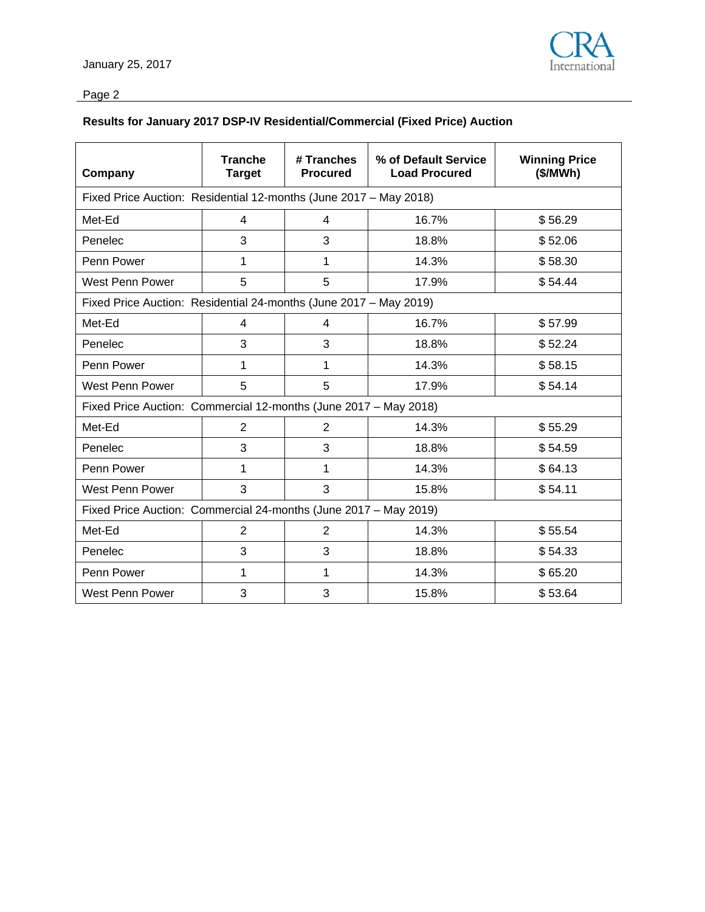

## Page 2

## **Results for January 2017 DSP-IV Residential/Commercial (Fixed Price) Auction**

| Company                                                           | <b>Tranche</b><br><b>Target</b> | # Tranches<br><b>Procured</b> | % of Default Service<br><b>Load Procured</b> | <b>Winning Price</b><br>(\$/MWh) |  |  |  |
|-------------------------------------------------------------------|---------------------------------|-------------------------------|----------------------------------------------|----------------------------------|--|--|--|
| Fixed Price Auction: Residential 12-months (June 2017 - May 2018) |                                 |                               |                                              |                                  |  |  |  |
| Met-Ed                                                            | 4                               | 4                             | 16.7%                                        | \$56.29                          |  |  |  |
| Penelec                                                           | 3                               | 3                             | 18.8%                                        | \$52.06                          |  |  |  |
| Penn Power                                                        | 1                               | 1                             | 14.3%                                        | \$58.30                          |  |  |  |
| West Penn Power                                                   | 5                               | 5                             | 17.9%                                        | \$54.44                          |  |  |  |
| Fixed Price Auction: Residential 24-months (June 2017 - May 2019) |                                 |                               |                                              |                                  |  |  |  |
| Met-Ed                                                            | 4                               | 4                             | 16.7%                                        | \$57.99                          |  |  |  |
| Penelec                                                           | 3                               | 3                             | 18.8%                                        | \$52.24                          |  |  |  |
| Penn Power                                                        | 1                               | 1                             | 14.3%                                        | \$58.15                          |  |  |  |
| West Penn Power                                                   | 5                               | 5                             | 17.9%                                        | \$54.14                          |  |  |  |
| Fixed Price Auction: Commercial 12-months (June 2017 - May 2018)  |                                 |                               |                                              |                                  |  |  |  |
| Met-Ed                                                            | $\overline{2}$                  | $\overline{2}$                | 14.3%                                        | \$55.29                          |  |  |  |
| Penelec                                                           | 3                               | 3                             | 18.8%                                        | \$54.59                          |  |  |  |
| Penn Power                                                        | 1                               | 1                             | 14.3%                                        | \$64.13                          |  |  |  |
| <b>West Penn Power</b>                                            | 3                               | 3                             | 15.8%                                        | \$54.11                          |  |  |  |
| Fixed Price Auction: Commercial 24-months (June 2017 - May 2019)  |                                 |                               |                                              |                                  |  |  |  |
| Met-Ed                                                            | $\overline{2}$                  | $\overline{2}$                | 14.3%                                        | \$55.54                          |  |  |  |
| Penelec                                                           | 3                               | 3                             | 18.8%                                        | \$54.33                          |  |  |  |
| Penn Power                                                        | 1                               | 1                             | 14.3%                                        | \$65.20                          |  |  |  |
| West Penn Power                                                   | 3                               | 3                             | 15.8%                                        | \$53.64                          |  |  |  |